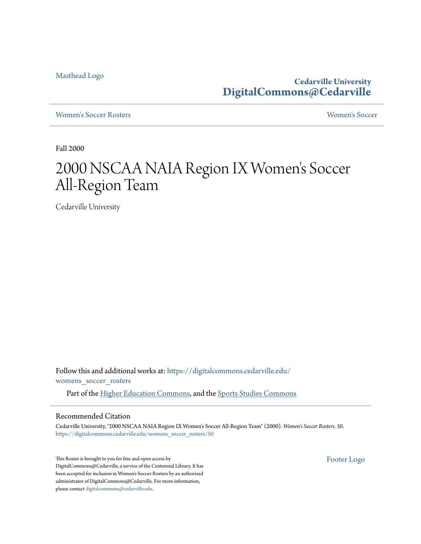[Masthead Logo](http://www.cedarville.edu/?utm_source=digitalcommons.cedarville.edu%2Fwomens_soccer_rosters%2F50&utm_medium=PDF&utm_campaign=PDFCoverPages)

**Cedarville University [DigitalCommons@Cedarville](https://digitalcommons.cedarville.edu?utm_source=digitalcommons.cedarville.edu%2Fwomens_soccer_rosters%2F50&utm_medium=PDF&utm_campaign=PDFCoverPages)**

[Women's Soccer Rosters](https://digitalcommons.cedarville.edu/womens_soccer_rosters?utm_source=digitalcommons.cedarville.edu%2Fwomens_soccer_rosters%2F50&utm_medium=PDF&utm_campaign=PDFCoverPages) [Women's Soccer](https://digitalcommons.cedarville.edu/womens_soccer?utm_source=digitalcommons.cedarville.edu%2Fwomens_soccer_rosters%2F50&utm_medium=PDF&utm_campaign=PDFCoverPages)

Fall 2000

## 2000 NSCAA NAIA Region IX Women 's Soccer All-Region Team

Cedarville University

Follow this and additional works at: [https://digitalcommons.cedarville.edu/](https://digitalcommons.cedarville.edu/womens_soccer_rosters?utm_source=digitalcommons.cedarville.edu%2Fwomens_soccer_rosters%2F50&utm_medium=PDF&utm_campaign=PDFCoverPages) [womens\\_soccer\\_rosters](https://digitalcommons.cedarville.edu/womens_soccer_rosters?utm_source=digitalcommons.cedarville.edu%2Fwomens_soccer_rosters%2F50&utm_medium=PDF&utm_campaign=PDFCoverPages)

Part of the [Higher Education Commons](http://network.bepress.com/hgg/discipline/1245?utm_source=digitalcommons.cedarville.edu%2Fwomens_soccer_rosters%2F50&utm_medium=PDF&utm_campaign=PDFCoverPages), and the [Sports Studies Commons](http://network.bepress.com/hgg/discipline/1198?utm_source=digitalcommons.cedarville.edu%2Fwomens_soccer_rosters%2F50&utm_medium=PDF&utm_campaign=PDFCoverPages)

#### Recommended Citation

Cedarville University, "2000 NSCAA NAIA Region IX Women's Soccer All-Region Team" (2000). *Women's Soccer Rosters*. 50. [https://digitalcommons.cedarville.edu/womens\\_soccer\\_rosters/50](https://digitalcommons.cedarville.edu/womens_soccer_rosters/50?utm_source=digitalcommons.cedarville.edu%2Fwomens_soccer_rosters%2F50&utm_medium=PDF&utm_campaign=PDFCoverPages)

This Roster is brought to you for free and open access by DigitalCommons@Cedarville, a service of the Centennial Library. It has been accepted for inclusion in Women's Soccer Rosters by an authorized administrator of DigitalCommons@Cedarville. For more information, please contact [digitalcommons@cedarville.edu.](mailto:digitalcommons@cedarville.edu)

[Footer Logo](http://www.cedarville.edu/Academics/Library.aspx?utm_source=digitalcommons.cedarville.edu%2Fwomens_soccer_rosters%2F50&utm_medium=PDF&utm_campaign=PDFCoverPages)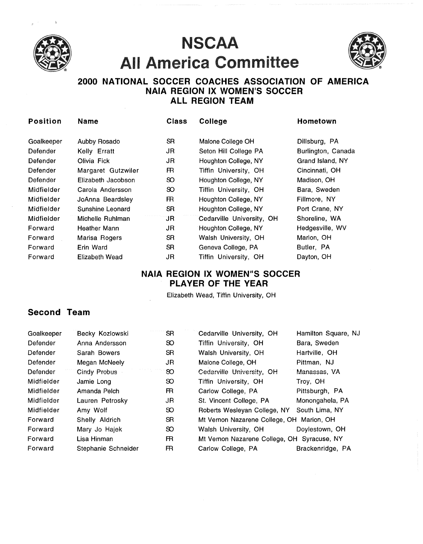

# **NSCAA All America Committee**



### **2000 NATIONAL SOCCER COACHES ASSOCIATION OF AMERICA NAIA REGION IX WOMEN'S SOCCER ALL REGION TEAM**

| <b>Position</b> | <b>Name</b>        | <b>Class</b> | College                   | Hometown           |
|-----------------|--------------------|--------------|---------------------------|--------------------|
| Goalkeeper      | Aubby Rosado       | SR.          | Malone College OH         | Dillsburg, PA      |
| Defender        | Kelly Erratt       | JR           | Seton Hill College PA     | Burlington, Canada |
| Defender        | Olivia Fick        | JR           | Houghton College, NY      | Grand Island, NY   |
| Defender        | Margaret Gutzwiler | <b>FR</b>    | Tiffin University, OH     | Cincinnati, OH     |
| Defender        | Elizabeth Jacobson | $\infty$     | Houghton College, NY      | Madison, OH        |
| Midfielder      | Carola Andersson   | $\infty$     | Tiffin University, OH     | Bara, Sweden       |
| Midfielder      | JoAnna Beardsley   | FR.          | Houghton College, NY      | Fillmore, NY       |
| Midfielder      | Sunshine Leonard   | SR.          | Houghton College, NY      | Port Crane, NY     |
| Midfielder      | Michelle Ruhlman   | JR           | Cedarville University, OH | Shoreline, WA      |
| Forward         | Heather Mann       | JR           | Houghton College, NY      | Hedgesville, WV    |
| Forward         | Marisa Rogers      | <b>SR</b>    | Walsh University, OH      | Marion, OH         |
| Forward         | Erin Ward          | <b>SR</b>    | Geneva College, PA        | Butler, PA         |
| Forward         | Elizabeth Wead     | JR           | Tiffin University, OH     | Dayton, OH         |

#### **NAIA REGION IX WOMEN"S SOCCER PLAYER OF THE YEAR**

Elizabeth Wead, Tiffin University, OH

#### **Second Team**

| Goalkeeper | Becky Kozlowski     | <b>SR</b>    | Cedarville University, OH                   | Hamilton Square, NJ |
|------------|---------------------|--------------|---------------------------------------------|---------------------|
| Defender   | Anna Andersson      | $\infty$     | Tiffin University, OH                       | Bara, Sweden        |
| Defender   | Sarah Bowers        | SR.          | Walsh University, OH                        | Hartville, OH       |
| Defender   | Megan McNeely       | JR           | Malone College, OH                          | Pittman, NJ         |
| Defender   | Cindy Probus        | ၹ            | Cedarville University, OH                   | Manassas, VA        |
| Midfielder | Jamie Long          | $\infty$     | Tiffin University, OH                       | Troy, OH            |
| Midfielder | Amanda Pelch        | $_{\rm{FR}}$ | Carlow College, PA                          | Pittsburgh, PA      |
| Midfielder | Lauren Petrosky     | JR           | St. Vincent College, PA                     | Monongahela, PA     |
| Midfielder | Amy Wolf            | $\infty$     | Roberts Wesleyan College, NY                | South Lima, NY      |
| Forward    | Shelly Aldrich      | SR.          | Mt Vernon Nazarene College, OH Marion, OH   |                     |
| Forward    | Mary Jo Hajek       | SO.          | Walsh University, OH                        | Doylestown, OH      |
| Forward    | Lisa Hinman         | $\mathbf{R}$ | Mt Vernon Nazarene College, OH Syracuse, NY |                     |
| Forward    | Stephanie Schneider | m            | Carlow College, PA                          | Brackenridge, PA    |
|            |                     |              |                                             |                     |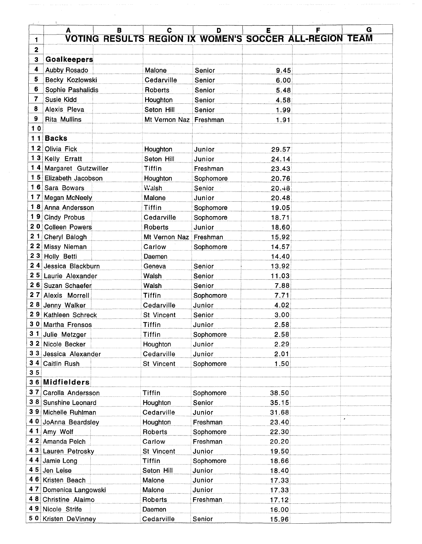|    | A                      | в | $\mathbf c$            | D                                                       | Е     | F | G |
|----|------------------------|---|------------------------|---------------------------------------------------------|-------|---|---|
| 1  |                        |   |                        | VOTING RESULTS REGION IX WOMEN'S SOCCER ALL-REGION TEAM |       |   |   |
| 2  |                        |   |                        |                                                         |       |   |   |
| 3  | Goalkeepers            |   |                        |                                                         |       |   |   |
| 4  | Aubby Rosado           |   | Malone                 | Senior                                                  | 9.45  |   |   |
| 5  | Becky Kozlowski        |   | Cedarville             | Senior                                                  | 6.00  |   |   |
| 6  | Sophie Pashalidis      |   | <b>Roberts</b>         | Senior                                                  | 5.48  |   |   |
| 7  | Susie Kidd             |   | Houghton               | Senior                                                  | 4.58  |   |   |
| 8  | Alexis Pleva           |   | Seton Hill             | Senior                                                  | 1.99  |   |   |
| 9  | <b>Rita Mullins</b>    |   | Mt Vernon Naz Freshman |                                                         | 1.91  |   |   |
| 10 |                        |   |                        |                                                         |       |   |   |
| 11 | <b>Backs</b>           |   |                        |                                                         |       |   |   |
| 12 | Olivia Fick            |   | Houghton               | Junior                                                  | 29.57 |   |   |
|    | 1 3 Kelly Erratt       |   | Seton Hill             | Junior                                                  | 24.14 |   |   |
|    | 14 Margaret Gutzwiller |   | <b>Tiffin</b>          | Freshman                                                | 23.43 |   |   |
|    | 1 5 Elizabeth Jacobson |   | Houghton               | Sophomore                                               | 20.76 |   |   |
|    | 16 Sara Bowers         |   | Walsh                  | Senior                                                  | 20.48 |   |   |
|    | 1 7 Megan McNeely      |   | Malone                 | Junior                                                  | 20.48 |   |   |
|    | 18 Anna Andersson      |   | <b>Tiffin</b>          | Sophomore                                               | 19.05 |   |   |
|    | 19 Cindy Probus        |   | Cedarville             | Sophomore                                               | 18.71 |   |   |
|    | 20 Colleen Powers      |   | Roberts                | Junior                                                  | 18.60 |   |   |
|    | 2 1 Cheryl Balogh      |   | Mt Vernon Naz Freshman |                                                         | 15.92 |   |   |
|    | 2 2 Missy Nieman       |   | Carlow                 | Sophomore                                               | 14.57 |   |   |
|    | 2 3 Holly Betti        |   | Daemen                 |                                                         | 14.40 |   |   |
|    | 24 Jessica Blackburn   |   | Geneva                 | Senior                                                  | 13.92 |   |   |
|    | 25 Laurie Alexander    |   | Walsh                  | Senior                                                  | 11.03 |   |   |
|    | 26 Suzan Schaefer      |   | Walsh                  | Senior                                                  | 7.88  |   |   |
|    | 27 Alexis Morrell      |   | <b>Tiffin</b>          | Sophomore                                               | 7.71  |   |   |
|    | 28 Jenny Walker        |   | Cedarville             | Junior                                                  | 4.02  |   |   |
|    | 29 Kathleen Schreck    |   | St Vincent             | Senior                                                  | 3.00  |   |   |
|    | 3 0 Martha Frensos     |   | <b>Tiffin</b>          | Junior                                                  | 2.58  |   |   |
|    | 3 1 Julie Metzger      |   | <b>Tiffin</b>          | Sophomore                                               | 2.58  |   |   |
|    | 3 2 Nicole Becker      |   | Houghton               | Junior                                                  | 2.29  |   |   |
|    | 3 3 Jessica Alexander  |   | Cedarville             | Junior                                                  | 2.01  |   |   |
|    | 34 Caitlin Rush        |   | St Vincent             | Sophomore                                               | 1.50  |   |   |
| 35 |                        |   |                        |                                                         |       |   |   |
|    | 36 Midfielders         |   |                        |                                                         |       |   |   |
| 37 | Carolla Andersson      |   | Tiffin                 | Sophomore                                               | 38.50 |   |   |
|    | 38 Sunshine Leonard    |   | Houghton               | Senior                                                  | 35.15 |   |   |
|    | 39 Michelle Ruhlman    |   | Cedarville             | Junior                                                  | 31.68 |   |   |
|    | 40 JoAnna Beardsley    |   | Houghton               | Freshman                                                | 23.40 |   |   |
|    | 4 1 Amy Wolf           |   | Roberts                | Sophomore                                               | 22.30 |   |   |
|    | 4 2 Amanda Pelch       |   | Carlow                 | Freshman                                                | 20.20 |   |   |
|    | 43 Lauren Petrosky     |   | St Vincent             | Junior                                                  | 19.50 |   |   |
| 44 | Jamie Long             |   | <b>Tiffin</b>          | Sophomore                                               | 18.66 |   |   |
|    | 4 5 Jen Leise          |   | Seton Hill             | Junior                                                  | 18.40 |   |   |
|    | 46 Kristen Beach       |   | Malone                 | Junior                                                  | 17.33 |   |   |
| 47 | Domenica Langowski     |   | Malone                 | Junior                                                  | 17.33 |   |   |
| 48 | Christine Alaimo       |   | Roberts                | Freshman                                                | 17.12 |   |   |
| 49 | Nicole Strife          |   | Daemen                 |                                                         | 16.00 |   |   |
|    | 50 Kristen DeVinney    |   | Cedarville             | Senior                                                  | 15.96 |   |   |